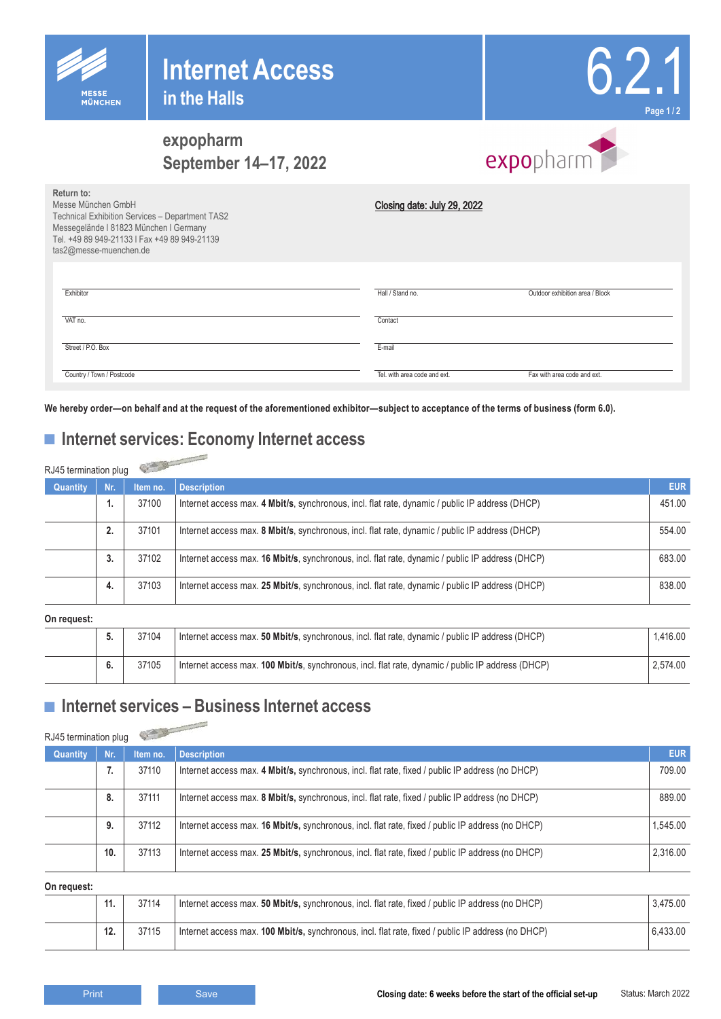

## **expopharm September 14–17, 2022**

| expopharm |  |
|-----------|--|

6.2.1

**Page 1 / 2**

| Return to:<br>Messe München GmbH<br><b>Technical Exhibition Services - Department TAS2</b><br>Messegelände I 81823 München I Germany<br>Tel. +49 89 949-21133   Fax +49 89 949-21139<br>tas2@messe-muenchen.de | Closing date: July 29, 2022  |                                 |
|----------------------------------------------------------------------------------------------------------------------------------------------------------------------------------------------------------------|------------------------------|---------------------------------|
| Exhibitor                                                                                                                                                                                                      | Hall / Stand no.             | Outdoor exhibition area / Block |
| VAT no.                                                                                                                                                                                                        | Contact                      |                                 |
| Street / P.O. Box                                                                                                                                                                                              | E-mail                       |                                 |
| Country / Town / Postcode                                                                                                                                                                                      | Tel. with area code and ext. | Fax with area code and ext.     |

# **■ Internet services: Economy Internet access**

| Return to:<br>Messe München GmbH<br>Technical Exhibition Services - Department TAS2<br>Messegelände I 81823 München I Germany<br>Tel. +49 89 949-21133   Fax +49 89 949-21139<br>tas2@messe-muenchen.de |                           |                   | Closing date: July 29, 2022                                                                                                                                                             |                      |  |  |
|---------------------------------------------------------------------------------------------------------------------------------------------------------------------------------------------------------|---------------------------|-------------------|-----------------------------------------------------------------------------------------------------------------------------------------------------------------------------------------|----------------------|--|--|
| Exhibitor                                                                                                                                                                                               |                           |                   | Hall / Stand no.<br>Outdoor exhibition area / Block                                                                                                                                     |                      |  |  |
| VAT no.                                                                                                                                                                                                 |                           |                   | Contact                                                                                                                                                                                 |                      |  |  |
|                                                                                                                                                                                                         |                           |                   |                                                                                                                                                                                         |                      |  |  |
|                                                                                                                                                                                                         | Street / P.O. Box         |                   | E-mail                                                                                                                                                                                  |                      |  |  |
|                                                                                                                                                                                                         | Country / Town / Postcode |                   | Tel. with area code and ext.<br>Fax with area code and ext.                                                                                                                             |                      |  |  |
|                                                                                                                                                                                                         |                           |                   | We hereby order-on behalf and at the request of the aforementioned exhibitor-subject to acceptance of the terms of business (form 6.0).<br>■ Internet services: Economy Internet access |                      |  |  |
| RJ45 termination plug<br>Quantity                                                                                                                                                                       | Nr.                       | Item no.          | <b>Description</b>                                                                                                                                                                      | <b>EUR</b>           |  |  |
|                                                                                                                                                                                                         | 1.                        | 37100             | Internet access max. 4 Mbit/s, synchronous, incl. flat rate, dynamic / public IP address (DHCP)                                                                                         | 451.00               |  |  |
|                                                                                                                                                                                                         | 2.                        | 37101             | Internet access max. 8 Mbit/s, synchronous, incl. flat rate, dynamic / public IP address (DHCP)                                                                                         | 554.00               |  |  |
|                                                                                                                                                                                                         | 3.                        | 37102             | Internet access max. 16 Mbit/s, synchronous, incl. flat rate, dynamic / public IP address (DHCP)                                                                                        | 683.00               |  |  |
|                                                                                                                                                                                                         | 4.                        | 37103             | Internet access max. 25 Mbit/s, synchronous, incl. flat rate, dynamic / public IP address (DHCP)                                                                                        | 838.00               |  |  |
| On request:                                                                                                                                                                                             |                           |                   |                                                                                                                                                                                         |                      |  |  |
|                                                                                                                                                                                                         | 5.                        | 37104             | Internet access max. 50 Mbit/s, synchronous, incl. flat rate, dynamic / public IP address (DHCP)                                                                                        | 1,416.00             |  |  |
|                                                                                                                                                                                                         | 6.                        | 37105             | Internet access max. 100 Mbit/s, synchronous, incl. flat rate, dynamic / public IP address (DHCP)                                                                                       | 2,574.00             |  |  |
| RJ45 termination plug                                                                                                                                                                                   |                           |                   | Internet services - Business Internet access                                                                                                                                            |                      |  |  |
| Quantity                                                                                                                                                                                                | Nr.<br>7.                 | Item no.<br>37110 | <b>Description</b><br>Internet access max. 4 Mbit/s, synchronous, incl. flat rate, fixed / public IP address (no DHCP)                                                                  | <b>EUR</b><br>709.00 |  |  |
|                                                                                                                                                                                                         |                           |                   |                                                                                                                                                                                         |                      |  |  |
|                                                                                                                                                                                                         | 8.                        | 37111             | Internet access max. 8 Mbit/s, synchronous, incl. flat rate, fixed / public IP address (no DHCP)                                                                                        | 889.00               |  |  |
|                                                                                                                                                                                                         | 9.                        | 37112             | Internet access max. 16 Mbit/s, synchronous, incl. flat rate, fixed / public IP address (no DHCP)                                                                                       | 1,545.00             |  |  |
|                                                                                                                                                                                                         | 10.                       | 37113             | Internet access max. 25 Mbit/s, synchronous, incl. flat rate, fixed / public IP address (no DHCP)                                                                                       | 2,316.00             |  |  |
| On request:                                                                                                                                                                                             |                           |                   |                                                                                                                                                                                         |                      |  |  |
|                                                                                                                                                                                                         | 11.                       | 37114             | Internet access max. 50 Mbit/s, synchronous, incl. flat rate, fixed / public IP address (no DHCP)                                                                                       | 3,475.00             |  |  |
|                                                                                                                                                                                                         | 12.                       | 37115             | Internet access max. 100 Mbit/s, synchronous, incl. flat rate, fixed / public IP address (no DHCP)                                                                                      | 6,433.00             |  |  |
|                                                                                                                                                                                                         | Print                     |                   | Closing date: 6 weeks before the start of the official set-up<br>Save                                                                                                                   | Status: March 2022   |  |  |

### **■ Internet services – Business Internet access**

| Quantity | Nr. | Item no. | <b>Description</b>                                                                                | <b>EUR</b> |
|----------|-----|----------|---------------------------------------------------------------------------------------------------|------------|
|          | -1. | 37110    | Internet access max. 4 Mbit/s, synchronous, incl. flat rate, fixed / public IP address (no DHCP)  | 709.00     |
|          | 8.  | 37111    | Internet access max. 8 Mbit/s, synchronous, incl. flat rate, fixed / public IP address (no DHCP)  | 889.00     |
|          | 9.  | 37112    | Internet access max. 16 Mbit/s, synchronous, incl. flat rate, fixed / public IP address (no DHCP) | 1.545.00   |
|          | 10. | 37113    | Internet access max. 25 Mbit/s, synchronous, incl. flat rate, fixed / public IP address (no DHCP) | 2,316.00   |

|  |  | 37114 | Internet access max. 50 Mbit/s, synchronous, incl. flat rate, fixed / public IP address (no DHCP)  | 3.475.00 |  |
|--|--|-------|----------------------------------------------------------------------------------------------------|----------|--|
|  |  | 37115 | Internet access max. 100 Mbit/s, synchronous, incl. flat rate, fixed / public IP address (no DHCP) | 6.433.00 |  |